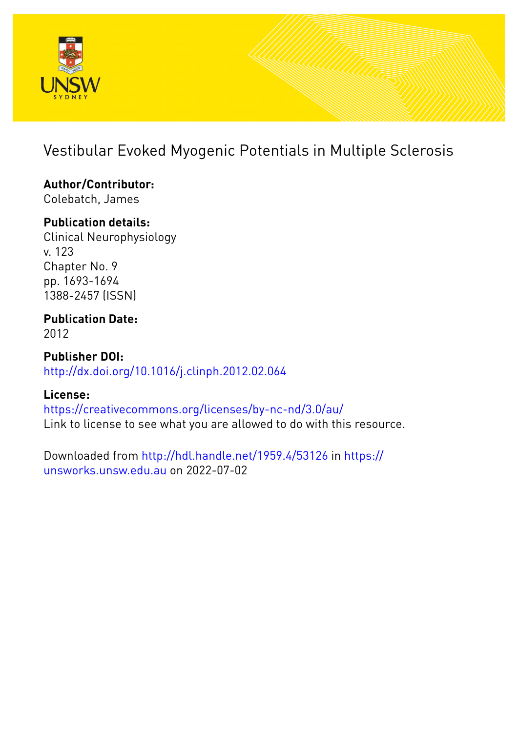

# Vestibular Evoked Myogenic Potentials in Multiple Sclerosis

## **Author/Contributor:**

Colebatch, James

### **Publication details:**

Clinical Neurophysiology v. 123 Chapter No. 9 pp. 1693-1694 1388-2457 (ISSN)

### **Publication Date:** 2012

**Publisher DOI:** [http://dx.doi.org/10.1016/j.clinph.2012.02.064](http://dx.doi.org/http://dx.doi.org/10.1016/j.clinph.2012.02.064)

### **License:**

<https://creativecommons.org/licenses/by-nc-nd/3.0/au/> Link to license to see what you are allowed to do with this resource.

Downloaded from <http://hdl.handle.net/1959.4/53126> in [https://](https://unsworks.unsw.edu.au) [unsworks.unsw.edu.au](https://unsworks.unsw.edu.au) on 2022-07-02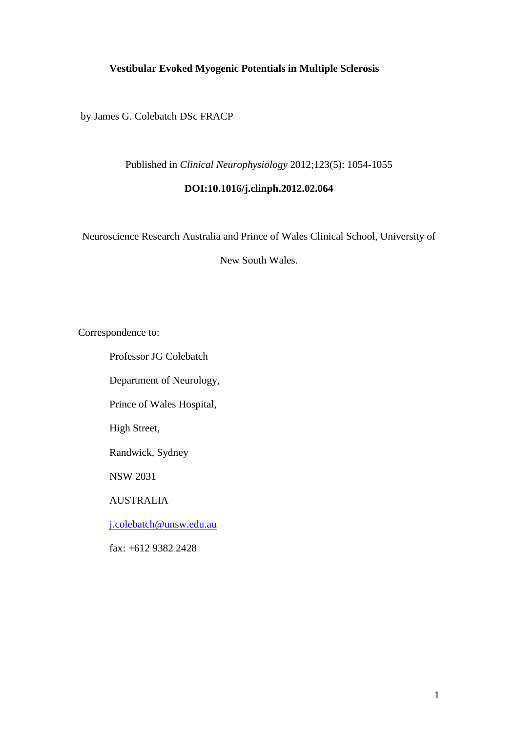### **Vestibular Evoked Myogenic Potentials in Multiple Sclerosis**

by James G. Colebatch DSc FRACP

Published in *Clinical Neurophysiology* 2012;123(5): 1054-1055

#### **DOI:10.1016/j.clinph.2012.02.064**

Neuroscience Research Australia and Prince of Wales Clinical School, University of

New South Wales.

Correspondence to:

Professor JG Colebatch

Department of Neurology,

Prince of Wales Hospital,

High Street,

Randwick, Sydney

NSW 2031

AUSTRALIA

[j.colebatch@unsw.edu.au](mailto:j.colebatch@unsw.edu.au)

fax: +612 9382 2428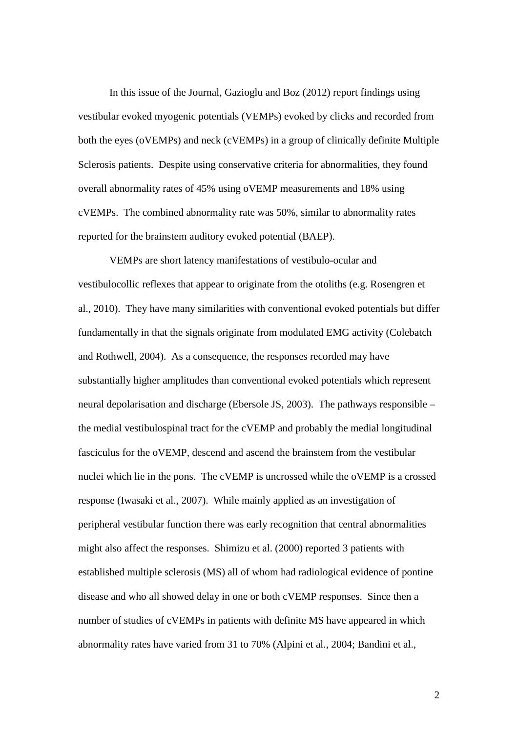In this issue of the Journal, Gazioglu and Boz (2012) report findings using vestibular evoked myogenic potentials (VEMPs) evoked by clicks and recorded from both the eyes (oVEMPs) and neck (cVEMPs) in a group of clinically definite Multiple Sclerosis patients. Despite using conservative criteria for abnormalities, they found overall abnormality rates of 45% using oVEMP measurements and 18% using cVEMPs. The combined abnormality rate was 50%, similar to abnormality rates reported for the brainstem auditory evoked potential (BAEP).

VEMPs are short latency manifestations of vestibulo-ocular and vestibulocollic reflexes that appear to originate from the otoliths (e.g. Rosengren et al., 2010). They have many similarities with conventional evoked potentials but differ fundamentally in that the signals originate from modulated EMG activity (Colebatch and Rothwell, 2004). As a consequence, the responses recorded may have substantially higher amplitudes than conventional evoked potentials which represent neural depolarisation and discharge (Ebersole JS, 2003). The pathways responsible – the medial vestibulospinal tract for the cVEMP and probably the medial longitudinal fasciculus for the oVEMP, descend and ascend the brainstem from the vestibular nuclei which lie in the pons. The cVEMP is uncrossed while the oVEMP is a crossed response (Iwasaki et al., 2007). While mainly applied as an investigation of peripheral vestibular function there was early recognition that central abnormalities might also affect the responses. Shimizu et al. (2000) reported 3 patients with established multiple sclerosis (MS) all of whom had radiological evidence of pontine disease and who all showed delay in one or both cVEMP responses. Since then a number of studies of cVEMPs in patients with definite MS have appeared in which abnormality rates have varied from 31 to 70% (Alpini et al., 2004; Bandini et al.,

2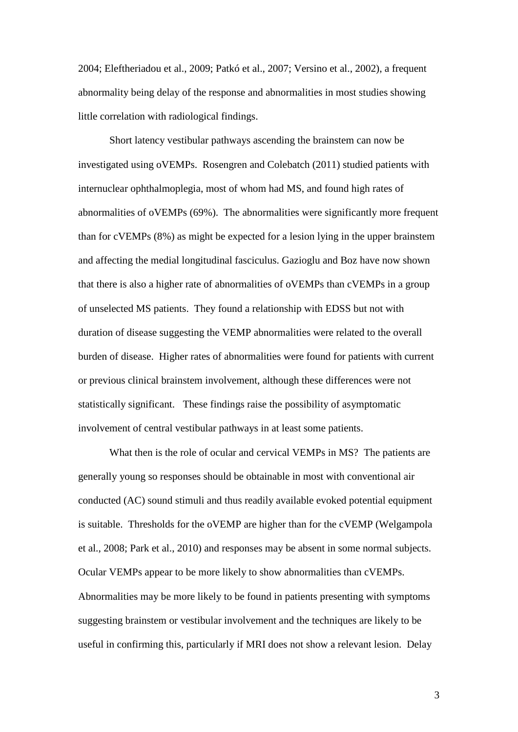2004; Eleftheriadou et al., 2009; Patkó et al., 2007; Versino et al., 2002), a frequent abnormality being delay of the response and abnormalities in most studies showing little correlation with radiological findings.

Short latency vestibular pathways ascending the brainstem can now be investigated using oVEMPs. Rosengren and Colebatch (2011) studied patients with internuclear ophthalmoplegia, most of whom had MS, and found high rates of abnormalities of oVEMPs (69%). The abnormalities were significantly more frequent than for cVEMPs (8%) as might be expected for a lesion lying in the upper brainstem and affecting the medial longitudinal fasciculus. Gazioglu and Boz have now shown that there is also a higher rate of abnormalities of oVEMPs than cVEMPs in a group of unselected MS patients. They found a relationship with EDSS but not with duration of disease suggesting the VEMP abnormalities were related to the overall burden of disease. Higher rates of abnormalities were found for patients with current or previous clinical brainstem involvement, although these differences were not statistically significant. These findings raise the possibility of asymptomatic involvement of central vestibular pathways in at least some patients.

What then is the role of ocular and cervical VEMPs in MS? The patients are generally young so responses should be obtainable in most with conventional air conducted (AC) sound stimuli and thus readily available evoked potential equipment is suitable. Thresholds for the oVEMP are higher than for the cVEMP (Welgampola et al., 2008; Park et al., 2010) and responses may be absent in some normal subjects. Ocular VEMPs appear to be more likely to show abnormalities than cVEMPs. Abnormalities may be more likely to be found in patients presenting with symptoms suggesting brainstem or vestibular involvement and the techniques are likely to be useful in confirming this, particularly if MRI does not show a relevant lesion. Delay

3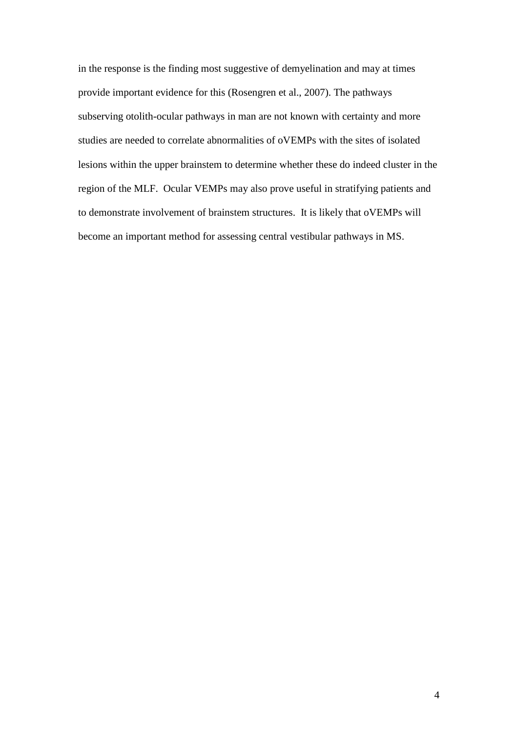in the response is the finding most suggestive of demyelination and may at times provide important evidence for this (Rosengren et al., 2007). The pathways subserving otolith-ocular pathways in man are not known with certainty and more studies are needed to correlate abnormalities of oVEMPs with the sites of isolated lesions within the upper brainstem to determine whether these do indeed cluster in the region of the MLF. Ocular VEMPs may also prove useful in stratifying patients and to demonstrate involvement of brainstem structures. It is likely that oVEMPs will become an important method for assessing central vestibular pathways in MS.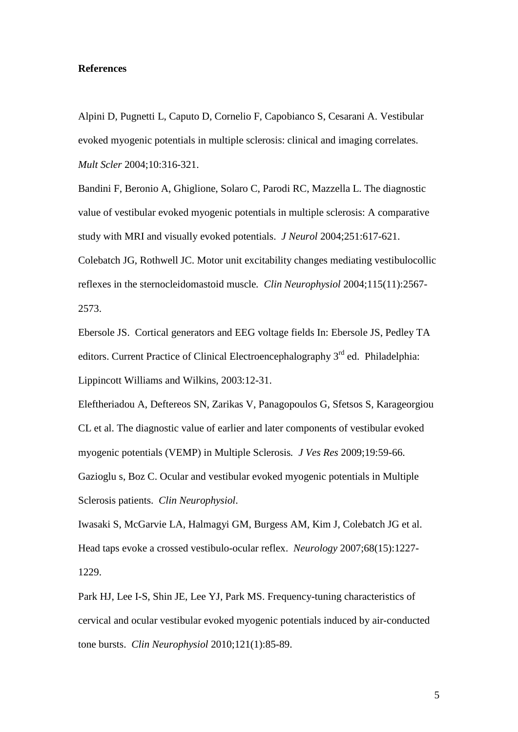#### **References**

Alpini D, Pugnetti L, Caputo D, Cornelio F, Capobianco S, Cesarani A. Vestibular evoked myogenic potentials in multiple sclerosis: clinical and imaging correlates. *Mult Scler* 2004;10:316-321.

Bandini F, Beronio A, Ghiglione, Solaro C, Parodi RC, Mazzella L. The diagnostic value of vestibular evoked myogenic potentials in multiple sclerosis: A comparative study with MRI and visually evoked potentials. *J Neurol* 2004;251:617-621. Colebatch JG, Rothwell JC. Motor unit excitability changes mediating vestibulocollic reflexes in the sternocleidomastoid muscle*. Clin Neurophysiol* 2004;115(11):2567- 2573.

Ebersole JS. Cortical generators and EEG voltage fields In: Ebersole JS, Pedley TA editors. Current Practice of Clinical Electroencephalography 3<sup>rd</sup> ed. Philadelphia: Lippincott Williams and Wilkins, 2003:12-31.

Eleftheriadou A, Deftereos SN, Zarikas V, Panagopoulos G, Sfetsos S, Karageorgiou CL et al. The diagnostic value of earlier and later components of vestibular evoked myogenic potentials (VEMP) in Multiple Sclerosis*. J Ves Res* 2009;19:59-66. Gazioglu s, Boz C. Ocular and vestibular evoked myogenic potentials in Multiple Sclerosis patients. *Clin Neurophysiol*.

Iwasaki S, McGarvie LA, Halmagyi GM, Burgess AM, Kim J, Colebatch JG et al. Head taps evoke a crossed vestibulo-ocular reflex. *Neurology* 2007;68(15):1227- 1229.

Park HJ, Lee I-S, Shin JE, Lee YJ, Park MS. Frequency-tuning characteristics of cervical and ocular vestibular evoked myogenic potentials induced by air-conducted tone bursts. *Clin Neurophysiol* 2010;121(1):85-89.